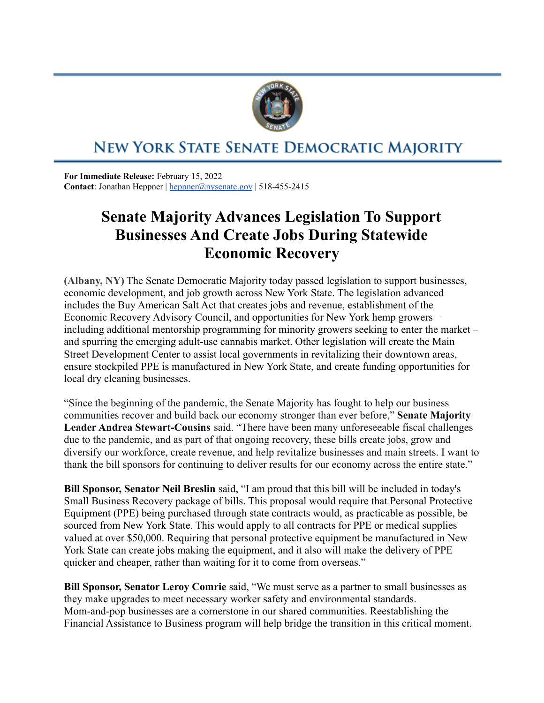

## **NEW YORK STATE SENATE DEMOCRATIC MAJORITY**

**For Immediate Release:** February 15, 2022 **Contact:** Jonathan Heppner | heppner @nysenate.gov | 518-455-2415

## **Senate Majority Advances Legislation To Support Businesses And Create Jobs During Statewide Economic Recovery**

**(Albany, NY)** The Senate Democratic Majority today passed legislation to support businesses, economic development, and job growth across New York State. The legislation advanced includes the Buy American Salt Act that creates jobs and revenue, establishment of the Economic Recovery Advisory Council, and opportunities for New York hemp growers – including additional mentorship programming for minority growers seeking to enter the market – and spurring the emerging adult-use cannabis market. Other legislation will create the Main Street Development Center to assist local governments in revitalizing their downtown areas, ensure stockpiled PPE is manufactured in New York State, and create funding opportunities for local dry cleaning businesses.

"Since the beginning of the pandemic, the Senate Majority has fought to help our business communities recover and build back our economy stronger than ever before," **Senate Majority Leader Andrea Stewart-Cousins** said. "There have been many unforeseeable fiscal challenges due to the pandemic, and as part of that ongoing recovery, these bills create jobs, grow and diversify our workforce, create revenue, and help revitalize businesses and main streets. I want to thank the bill sponsors for continuing to deliver results for our economy across the entire state."

**Bill Sponsor, Senator Neil Breslin** said, "I am proud that this bill will be included in today's Small Business Recovery package of bills. This proposal would require that Personal Protective Equipment (PPE) being purchased through state contracts would, as practicable as possible, be sourced from New York State. This would apply to all contracts for PPE or medical supplies valued at over \$50,000. Requiring that personal protective equipment be manufactured in New York State can create jobs making the equipment, and it also will make the delivery of PPE quicker and cheaper, rather than waiting for it to come from overseas."

**Bill Sponsor, Senator Leroy Comrie** said, "We must serve as a partner to small businesses as they make upgrades to meet necessary worker safety and environmental standards. Mom-and-pop businesses are a cornerstone in our shared communities. Reestablishing the Financial Assistance to Business program will help bridge the transition in this critical moment.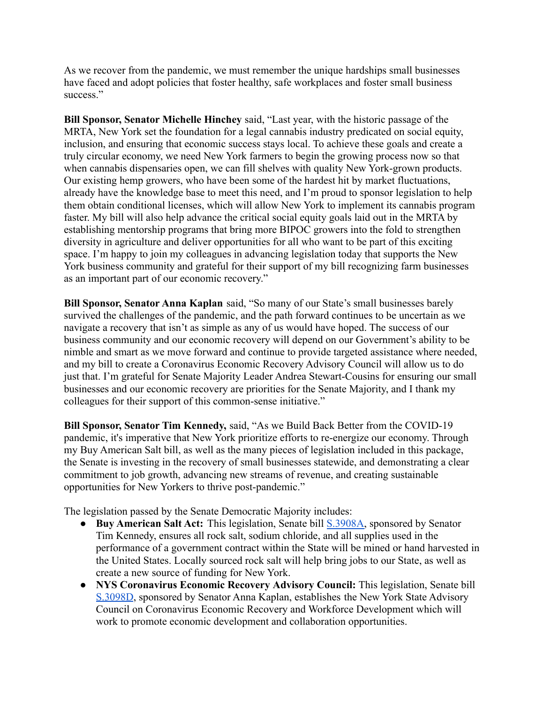As we recover from the pandemic, we must remember the unique hardships small businesses have faced and adopt policies that foster healthy, safe workplaces and foster small business success."

**Bill Sponsor, Senator Michelle Hinchey** said, "Last year, with the historic passage of the MRTA, New York set the foundation for a legal cannabis industry predicated on social equity, inclusion, and ensuring that economic success stays local. To achieve these goals and create a truly circular economy, we need New York farmers to begin the growing process now so that when cannabis dispensaries open, we can fill shelves with quality New York-grown products. Our existing hemp growers, who have been some of the hardest hit by market fluctuations, already have the knowledge base to meet this need, and I'm proud to sponsor legislation to help them obtain conditional licenses, which will allow New York to implement its cannabis program faster. My bill will also help advance the critical social equity goals laid out in the MRTA by establishing mentorship programs that bring more BIPOC growers into the fold to strengthen diversity in agriculture and deliver opportunities for all who want to be part of this exciting space. I'm happy to join my colleagues in advancing legislation today that supports the New York business community and grateful for their support of my bill recognizing farm businesses as an important part of our economic recovery."

**Bill Sponsor, Senator Anna Kaplan** said, "So many of our State's small businesses barely survived the challenges of the pandemic, and the path forward continues to be uncertain as we navigate a recovery that isn't as simple as any of us would have hoped. The success of our business community and our economic recovery will depend on our Government's ability to be nimble and smart as we move forward and continue to provide targeted assistance where needed, and my bill to create a Coronavirus Economic Recovery Advisory Council will allow us to do just that. I'm grateful for Senate Majority Leader Andrea Stewart-Cousins for ensuring our small businesses and our economic recovery are priorities for the Senate Majority, and I thank my colleagues for their support of this common-sense initiative."

**Bill Sponsor, Senator Tim Kennedy,** said, "As we Build Back Better from the COVID-19 pandemic, it's imperative that New York prioritize efforts to re-energize our economy. Through my Buy American Salt bill, as well as the many pieces of legislation included in this package, the Senate is investing in the recovery of small businesses statewide, and demonstrating a clear commitment to job growth, advancing new streams of revenue, and creating sustainable opportunities for New Yorkers to thrive post-pandemic."

The legislation passed by the Senate Democratic Majority includes:

- **Buy American Salt Act:** This legislation, Senate bill [S.3908A,](https://www.nysenate.gov/legislation/bills/2021/s3908/amendment/a) sponsored by Senator Tim Kennedy, ensures all rock salt, sodium chloride, and all supplies used in the performance of a government contract within the State will be mined or hand harvested in the United States. Locally sourced rock salt will help bring jobs to our State, as well as create a new source of funding for New York.
- **NYS Coronavirus Economic Recovery Advisory Council:** This legislation, Senate bill [S.3098D](https://www.nysenate.gov/legislation/bills/2021/s3098/amendment/original), sponsored by Senator Anna Kaplan, establishes the New York State Advisory Council on Coronavirus Economic Recovery and Workforce Development which will work to promote economic development and collaboration opportunities.